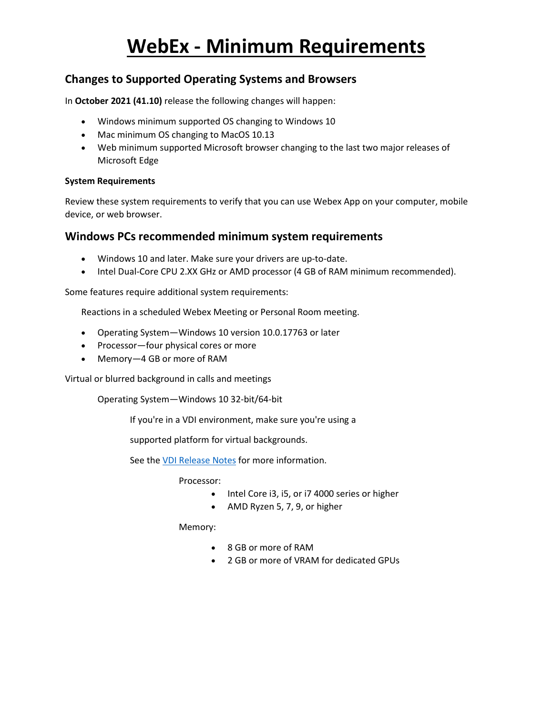## **Changes to Supported Operating Systems and Browsers**

In **October 2021 (41.10)** release the following changes will happen:

- Windows minimum supported OS changing to Windows 10
- Mac minimum OS changing to MacOS 10.13
- Web minimum supported Microsoft browser changing to the last two major releases of Microsoft Edge

### **System Requirements**

Review these system requirements to verify that you can use Webex App on your computer, mobile device, or web browser.

### **Windows PCs recommended minimum system requirements**

- Windows 10 and later. Make sure your drivers are up-to-date.
- Intel Dual-Core CPU 2.XX GHz or AMD processor (4 GB of RAM minimum recommended).

Some features require additional system requirements:

Reactions in a scheduled Webex Meeting or Personal Room meeting.

- Operating System—Windows 10 version 10.0.17763 or later
- Processor—four physical cores or more
- Memory—4 GB or more of RAM

Virtual or blurred background in calls and meetings

Operating System—Windows 10 32-bit/64-bit

If you're in a VDI environment, make sure you're using a

supported platform for virtual backgrounds.

See the [VDI Release Notes](https://help.webex.com/ntp1us7/) for more information.

Processor:

- Intel Core i3, i5, or i7 4000 series or higher
- AMD Ryzen 5, 7, 9, or higher

Memory:

- 8 GB or more of RAM
- 2 GB or more of VRAM for dedicated GPUs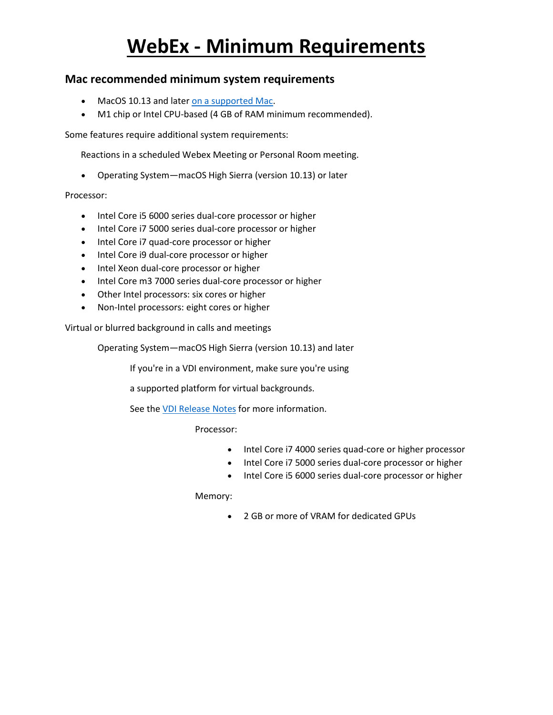### **Mac recommended minimum system requirements**

- MacOS 10.13 and later [on a supported Mac.](https://support.apple.com/kb/sp742?locale=en_US)
- M1 chip or Intel CPU-based (4 GB of RAM minimum recommended).

Some features require additional system requirements:

Reactions in a scheduled Webex Meeting or Personal Room meeting.

• Operating System—macOS High Sierra (version 10.13) or later

#### Processor:

- Intel Core i5 6000 series dual-core processor or higher
- Intel Core i7 5000 series dual-core processor or higher
- Intel Core i7 quad-core processor or higher
- Intel Core i9 dual-core processor or higher
- Intel Xeon dual-core processor or higher
- Intel Core m3 7000 series dual-core processor or higher
- Other Intel processors: six cores or higher
- Non-Intel processors: eight cores or higher

Virtual or blurred background in calls and meetings

Operating System—macOS High Sierra (version 10.13) and later

If you're in a VDI environment, make sure you're using

a supported platform for virtual backgrounds.

See the [VDI Release Notes](https://help.webex.com/ntp1us7/) for more information.

Processor:

- Intel Core i7 4000 series quad-core or higher processor
- Intel Core i7 5000 series dual-core processor or higher
- Intel Core i5 6000 series dual-core processor or higher

Memory:

• 2 GB or more of VRAM for dedicated GPUs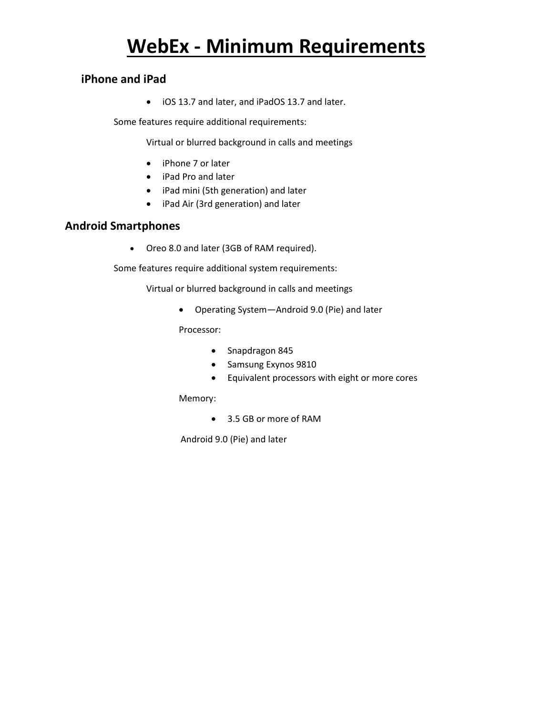### **iPhone and iPad**

• iOS 13.7 and later, and iPadOS 13.7 and later.

Some features require additional requirements:

Virtual or blurred background in calls and meetings

- iPhone 7 or later
- iPad Pro and later
- iPad mini (5th generation) and later
- iPad Air (3rd generation) and later

## **Android Smartphones**

• Oreo 8.0 and later (3GB of RAM required).

Some features require additional system requirements:

Virtual or blurred background in calls and meetings

• Operating System—Android 9.0 (Pie) and later

Processor:

- Snapdragon 845
- Samsung Exynos 9810
- Equivalent processors with eight or more cores

Memory:

• 3.5 GB or more of RAM

Android 9.0 (Pie) and later